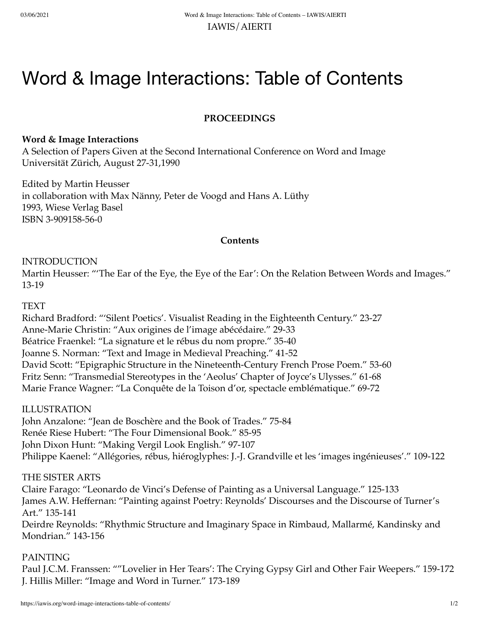# Word & Image Interactions: Table of Contents

# **PROCEEDINGS**

#### **Word & Image Interactions**

A Selection of Papers Given at the Second International Conference on Word and Image Universität Zürich, August 27-31,1990

Edited by Martin Heusser in collaboration with Max Nänny, Peter de Voogd and Hans A. Lüthy 1993, Wiese Verlag Basel ISBN 3-909158-56-0

### **Contents**

#### INTRODUCTION

Martin Heusser: "'The Ear of the Eye, the Eye of the Ear': On the Relation Between Words and Images." 13-19

#### TEXT

Richard Bradford: "'Silent Poetics'. Visualist Reading in the Eighteenth Century." 23-27 Anne-Marie Christin: "Aux origines de l'image abécédaire." 29-33 Béatrice Fraenkel: "La signature et le rébus du nom propre." 35-40 Joanne S. Norman: "Text and Image in Medieval Preaching." 41-52 David Scott: "Epigraphic Structure in the Nineteenth-Century French Prose Poem." 53-60 Fritz Senn: "Transmedial Stereotypes in the 'Aeolus' Chapter of Joyce's Ulysses." 61-68 Marie France Wagner: "La Conquête de la Toison d'or, spectacle emblématique." 69-72

### ILLUSTRATION

John Anzalone: "Jean de Boschère and the Book of Trades." 75-84 Renée Riese Hubert: "The Four Dimensional Book." 85-95 John Dixon Hunt: "Making Vergil Look English." 97-107 Philippe Kaenel: "Allégories, rébus, hiéroglyphes: J.-J. Grandville et les 'images ingénieuses'." 109-122

### THE SISTER ARTS

Claire Farago: "Leonardo de Vinci's Defense of Painting as a Universal Language." 125-133 James A.W. Heffernan: "Painting against Poetry: Reynolds' Discourses and the Discourse of Turner's Art." 135-141

Deirdre Reynolds: "Rhythmic Structure and Imaginary Space in Rimbaud, Mallarmé, Kandinsky and Mondrian." 143-156

### PAINTING

Paul J.C.M. Franssen: ""Lovelier in Her Tears': The Crying Gypsy Girl and Other Fair Weepers." 159-172 J. Hillis Miller: "Image and Word in Turner." 173-189